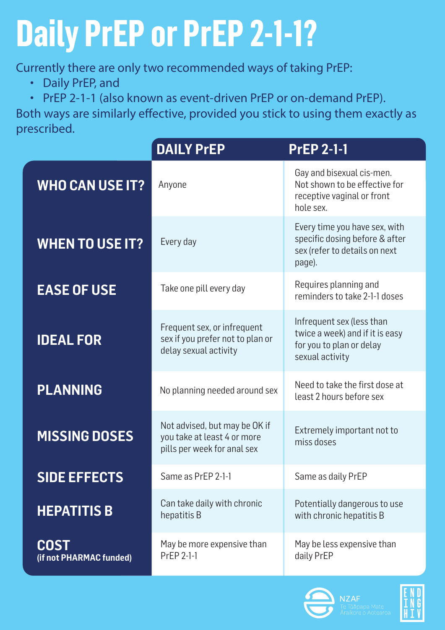# **Daily PrEP or PrEP 2-1-1?**

Currently there are only two recommended ways of taking PrEP:

- Daily PrEP, and
- PrEP 2-1-1 (also known as event-driven PrEP or on-demand PrEP).

Both ways are similarly effective, provided you stick to using them exactly as prescribed.

|                                        | <b>DAILY PrEP</b>                                                                           | <b>PrEP 2-1-1</b>                                                                                           |
|----------------------------------------|---------------------------------------------------------------------------------------------|-------------------------------------------------------------------------------------------------------------|
| <b>WHO CAN USE IT?</b>                 | Anyone                                                                                      | Gay and bisexual cis-men.<br>Not shown to be effective for<br>receptive vaginal or front<br>hole sex.       |
| <b>WHEN TO USE IT?</b>                 | Every day                                                                                   | Every time you have sex, with<br>specific dosing before & after<br>sex (refer to details on next<br>page).  |
| <b>EASE OF USE</b>                     | Take one pill every day                                                                     | Requires planning and<br>reminders to take 2-1-1 doses                                                      |
| <b>IDEAL FOR</b>                       | Frequent sex, or infrequent<br>sex if you prefer not to plan or<br>delay sexual activity    | Infrequent sex (less than<br>twice a week) and if it is easy<br>for you to plan or delay<br>sexual activity |
| <b>PLANNING</b>                        | No planning needed around sex                                                               | Need to take the first dose at<br>least 2 hours before sex                                                  |
| <b>MISSING DOSES</b>                   | Not advised, but may be OK if<br>you take at least 4 or more<br>pills per week for anal sex | Extremely important not to<br>miss doses                                                                    |
| <b>SIDE EFFECTS</b>                    | Same as PrEP 2-1-1                                                                          | Same as daily PrEP                                                                                          |
| <b>HEPATITIS B</b>                     | Can take daily with chronic<br>hepatitis B                                                  | Potentially dangerous to use<br>with chronic hepatitis B                                                    |
| <b>COST</b><br>(if not PHARMAC funded) | May be more expensive than<br>PrEP 2-1-1                                                    | May be less expensive than<br>daily PrEP                                                                    |